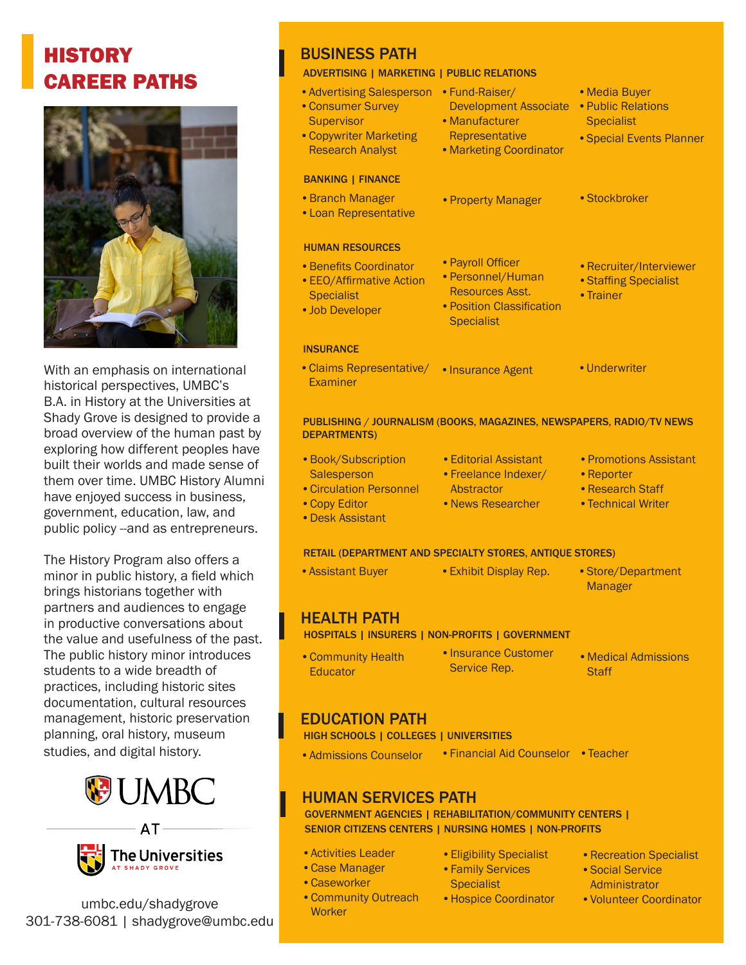# **HISTORY** CAREER PATHS



With an emphasis on international historical perspectives, UMBC's B.A. in History at the Universities at Shady Grove is designed to provide a broad overview of the human past by exploring how different peoples have built their worlds and made sense of them over time. UMBC History Alumni have enjoyed success in business, government, education, law, and public policy --and as entrepreneurs.

The History Program also offers a minor in public history, a field which brings historians together with partners and audiences to engage in productive conversations about the value and usefulness of the past. The public history minor introduces students to a wide breadth of practices, including historic sites documentation, cultural resources management, historic preservation planning, oral history, museum studies, and digital history.





umbc.edu/shadygrove 301-738-6081 | shadygrove@umbc.edu

# BUSINESS PATH

#### ADVERTISING | MARKETING | PUBLIC RELATIONS

| • Advertising Salesperson<br>• Consumer Survey<br><b>Supervisor</b><br>• Copywriter Marketing<br><b>Research Analyst</b> | • Fund-Raiser/<br><b>Development Associate</b><br>• Manufacturer<br>Representative<br>• Marketing Coordinator | • Media Buyer<br>• Public Relations<br><b>Specialist</b><br>• Special Events Planner |
|--------------------------------------------------------------------------------------------------------------------------|---------------------------------------------------------------------------------------------------------------|--------------------------------------------------------------------------------------|
| <b>BANKING   FINANCE</b>                                                                                                 |                                                                                                               |                                                                                      |
| • Branch Manager<br>• Loan Representative                                                                                | • Property Manager                                                                                            | • Stockbroker                                                                        |
| <b>HUMAN RESOURCES</b>                                                                                                   |                                                                                                               |                                                                                      |
| • Benefits Coordinator<br>• EEO/Affirmative Action<br><b>Specialist</b><br>• Job Developer                               | • Payroll Officer<br>• Personnel/Human<br>Resources Asst.<br>• Position Classification<br><b>Specialist</b>   | • Recruiter/Interviewer<br>• Staffing Specialist<br>• Trainer                        |
| <b>INSURANCE</b>                                                                                                         |                                                                                                               |                                                                                      |
| • Claims Representative/<br>Examiner                                                                                     | • Insurance Agent                                                                                             | • Underwriter                                                                        |

#### PUBLISHING / JOURNALISM (BOOKS, MAGAZINES, NEWSPAPERS, RADIO/TV NEWS DEPARTMENTS)

- •Editorial Assistant •Freelance Indexer/ **Abstractor** •News Researcher • Book/Subscription **Salesperson** •Circulation Personnel •Copy Editor •Promotions Assistant •Reporter •Research Staff •Technical Writer
- •Desk Assistant

### RETAIL (DEPARTMENT AND SPECIALTY STORES, ANTIQUE STORES)

| <b>Assistant Buyer</b> | • Exhibit Display Rep. | $\bullet$ Store/De |
|------------------------|------------------------|--------------------|
|                        |                        | Manager            |

HEALTH PATH

HOSPITALS | INSURERS | NON-PROFITS | GOVERNMENT

- Service Rep. •Community Health **Educator**
- •Insurance Customer
- •Medical Admissions **Staff**

epartment

### EDUCATION PATH

HIGH SCHOOLS | COLLEGES | UNIVERSITIES

• Admissions Counselor • Financial Aid Counselor • Teacher

# HUMAN SERVICES PATH

 GOVERNMENT AGENCIES | REHABILITATION/COMMUNITY CENTERS | SENIOR CITIZENS CENTERS | NURSING HOMES | NON-PROFITS

- •Activities Leader
- •Case Manager

**Worker** 

- •Caseworker •Community Outreach
- •Eligibility Specialist •Family Services
- **Specialist**
- •Hospice Coordinator
- •Recreation Specialist
- •Social Service
- Administrator
- •Volunteer Coordinator
- 
- 
- 
- 
-